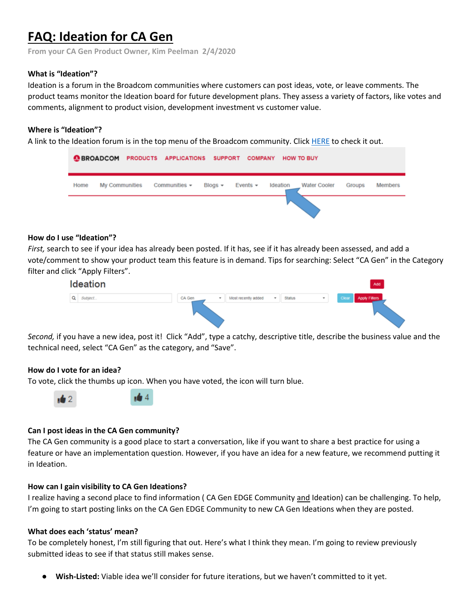# **FAQ: Ideation for CA Gen**

**From your CA Gen Product Owner, Kim Peelman 2/4/2020**

## **What is "Ideation"?**

Ideation is a forum in the Broadcom communities where customers can post ideas, vote, or leave comments. The product teams monitor the Ideation board for future development plans. They assess a variety of factors, like votes and comments, alignment to product vision, development investment vs customer value.

## **Where is "Ideation"?**

A link to the Ideation forum is in the top menu of the Broadcom community. Clic[k HERE](https://community.broadcom.com/ideation/allideas) to check it out.



### **How do I use "Ideation"?**

*First,* search to see if your idea has already been posted. If it has, see if it has already been assessed, and add a vote/comment to show your product team this feature is in demand. Tips for searching: Select "CA Gen" in the Category filter and click "Apply Filters".



*Second,* if you have a new idea, post it! Click "Add", type a catchy, descriptive title, describe the business value and the technical need, select "CA Gen" as the category, and "Save".

## **How do I vote for an idea?**

 $\frac{1}{2}$ 

To vote, click the thumbs up icon. When you have voted, the icon will turn blue.



## **Can I post ideas in the CA Gen community?**

The CA Gen community is a good place to start a conversation, like if you want to share a best practice for using a feature or have an implementation question. However, if you have an idea for a new feature, we recommend putting it in Ideation.

#### **How can I gain visibility to CA Gen Ideations?**

I realize having a second place to find information ( CA Gen EDGE Community and Ideation) can be challenging. To help, I'm going to start posting links on the CA Gen EDGE Community to new CA Gen Ideations when they are posted.

#### **What does each 'status' mean?**

To be completely honest, I'm still figuring that out. Here's what I think they mean. I'm going to review previously submitted ideas to see if that status still makes sense.

Wish-Listed: Viable idea we'll consider for future iterations, but we haven't committed to it yet.